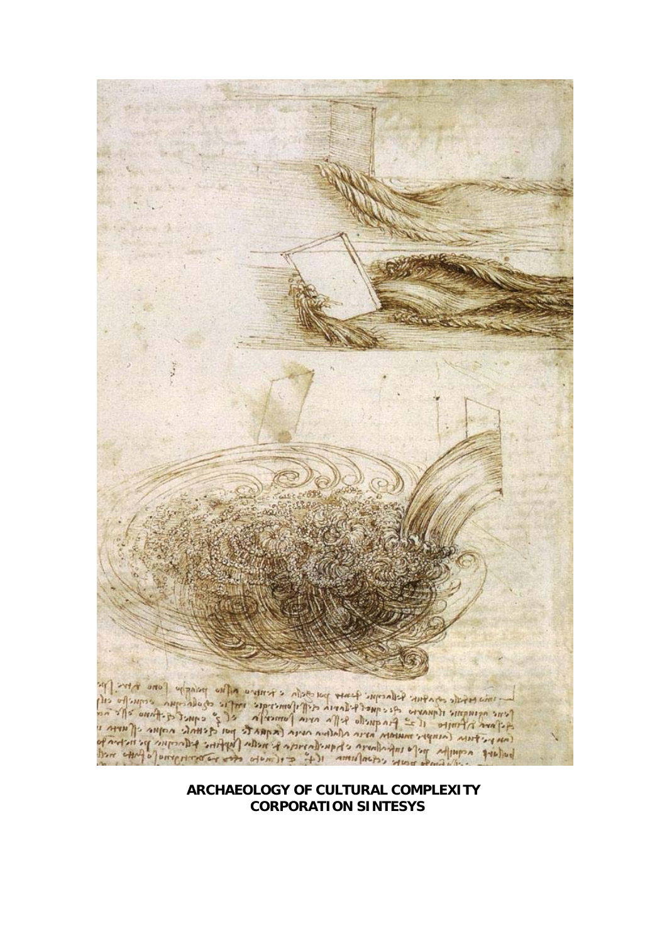### **ARCHAEOLOGY OF CULTURAL COMPLEXITY CORPORATION SINTESYS**

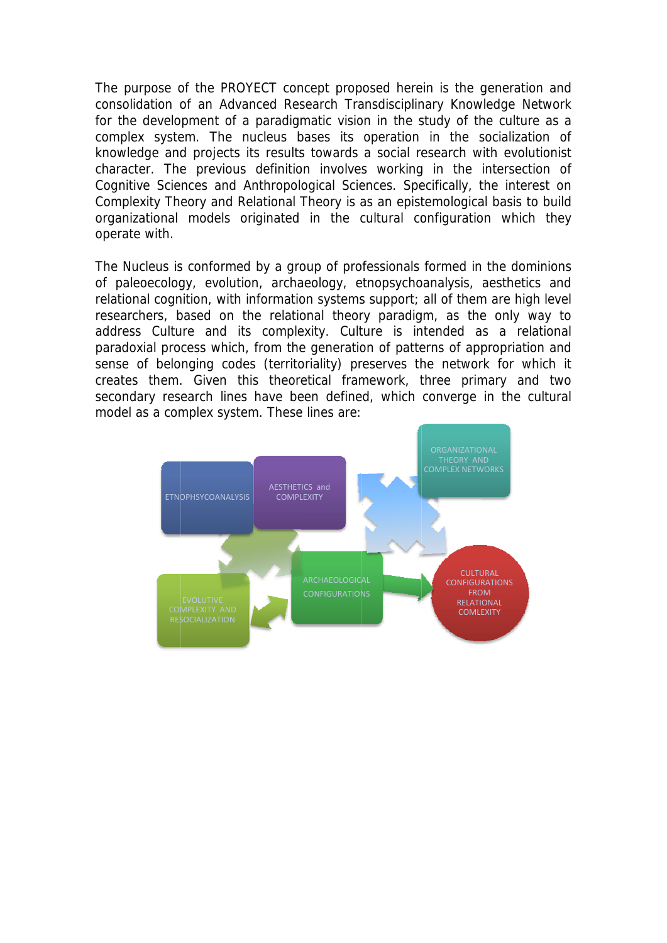The purpose of the PROYECT concept proposed herein is the generation and consolidation of an Advanced Research Transdisciplinary Knowledge Network for the development of a paradigmatic vision in the study of the culture as a complex system. The nucleus bases its operation in the socialization of knowledge and projects its results towards a social research with evolutionist character. The previous definition involves working in the intersection of Cognitive Sciences and Anthropological Sciences. Specifically, the interest on Complexity Theory and Relational Theory is as an epistemological basis to build organizational models originated in the cultural configuration which they operate with.

The Nucleus is conformed by a group of professionals formed in the dominions of paleoecology, evolution, archaeology, etnopsychoanalysis, aesthetics and relational cognition, with information systems support; all of them are high level researchers, based on the relational theory paradigm, as the only way to address Culture and its complexity. Culture is intended as a relational paradoxial process which, from the generation of patterns of appropriation and sense of belonging codes (territoriality) preserves the network for which it creates them. Given this theoretical framework, three primary and two secondary research lines have been defined, which converge in the cultural model as a complex system. These lines are:

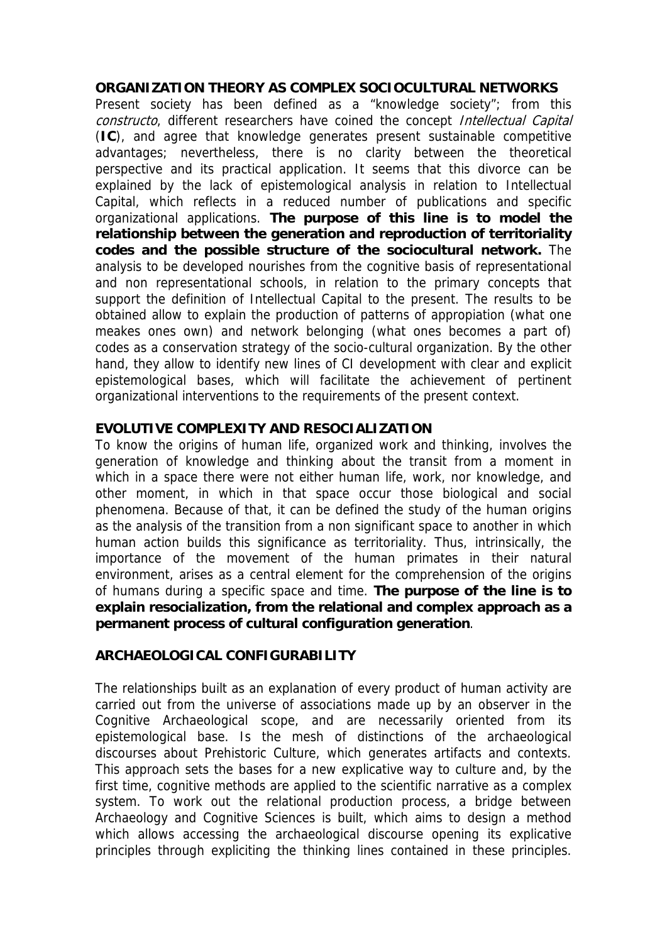## **ORGANIZATION THEORY AS COMPLEX SOCIOCULTURAL NETWORKS**

Present society has been defined as a "knowledge society"; from this constructo, different researchers have coined the concept Intellectual Capital (**IC**), and agree that knowledge generates present sustainable competitive advantages; nevertheless, there is no clarity between the theoretical perspective and its practical application. It seems that this divorce can be explained by the lack of epistemological analysis in relation to Intellectual Capital, which reflects in a reduced number of publications and specific organizational applications. **The purpose of this line is to model the relationship between the generation and reproduction of territoriality codes and the possible structure of the sociocultural network.** The analysis to be developed nourishes from the cognitive basis of representational and non representational schools, in relation to the primary concepts that support the definition of Intellectual Capital to the present. The results to be obtained allow to explain the production of patterns of appropiation (what one meakes ones own) and network belonging (what ones becomes a part of) codes as a conservation strategy of the socio-cultural organization. By the other hand, they allow to identify new lines of CI development with clear and explicit epistemological bases, which will facilitate the achievement of pertinent organizational interventions to the requirements of the present context.

## **EVOLUTIVE COMPLEXITY AND RESOCIALIZATION**

To know the origins of human life, organized work and thinking, involves the generation of knowledge and thinking about the transit from a moment in which in a space there were not either human life, work, nor knowledge, and other moment, in which in that space occur those biological and social phenomena. Because of that, it can be defined the study of the human origins as the analysis of the transition from a non significant space to another in which human action builds this significance as territoriality. Thus, intrinsically, the importance of the movement of the human primates in their natural environment, arises as a central element for the comprehension of the origins of humans during a specific space and time. **The purpose of the line is to explain resocialization, from the relational and complex approach as a permanent process of cultural configuration generation**.

## **ARCHAEOLOGICAL CONFIGURABILITY**

The relationships built as an explanation of every product of human activity are carried out from the universe of associations made up by an observer in the Cognitive Archaeological scope, and are necessarily oriented from its epistemological base. Is the mesh of distinctions of the archaeological discourses about Prehistoric Culture, which generates artifacts and contexts. This approach sets the bases for a new explicative way to culture and, by the first time, cognitive methods are applied to the scientific narrative as a complex system. To work out the relational production process, a bridge between Archaeology and Cognitive Sciences is built, which aims to design a method which allows accessing the archaeological discourse opening its explicative principles through expliciting the thinking lines contained in these principles.